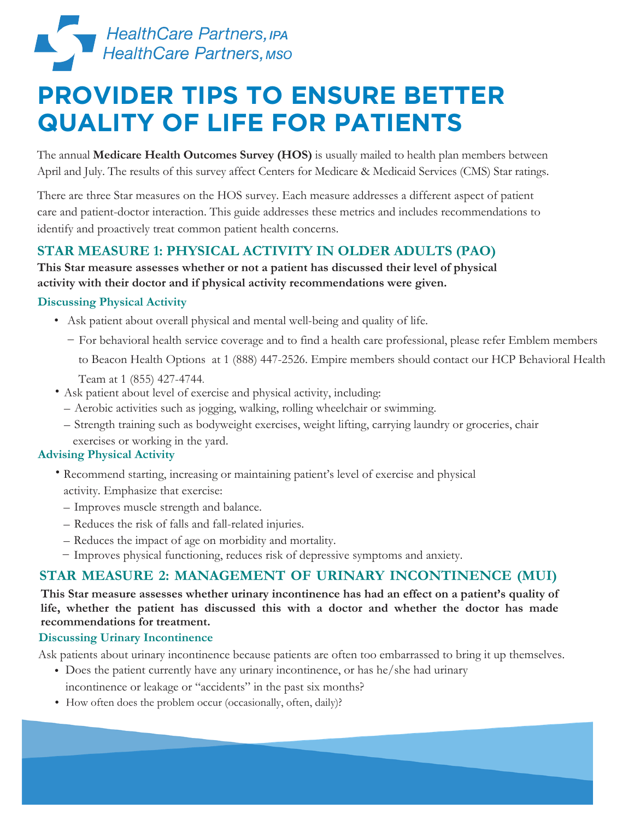

## **PROVIDER TIPS TO ENSURE BETTER QUALITY OF LIFE FOR PATIENTS**

The annual **Medicare Health Outcomes Survey (HOS)** is usually mailed to health plan members between April and July. The results of this survey affect Centers for Medicare & Medicaid Services (CMS) Star ratings.

There are three Star measures on the HOS survey. Each measure addresses a different aspect of patient care and patient-doctor interaction. This guide addresses these metrics and includes recommendations to identify and proactively treat common patient health concerns.

## **STAR MEASURE 1: PHYSICAL ACTIVITY IN OLDER ADULTS (PAO)**

**This Star measure assesses whether or not a patient has discussed their level of physical activity with their doctor and if physical activity recommendations were given.**

### **Discussing Physical Activity**

- Ask patient about overall physical and mental well-being and quality of life.
	- For behavioral health service coverage and to find a health care professional, please refer Emblem members
		- to Beacon Health Options at 1 (888) 447-2526. Empire members should contact our HCP Behavioral Health
		- Team at 1 (855) 427-4744.
- Ask patient about level of exercise and physical activity, including:
	- Aerobic activities such as jogging, walking, rolling wheelchair or swimming.
	- Strength training such as bodyweight exercises, weight lifting, carrying laundry or groceries, chair exercises or working in the yard.

### **Advising Physical Activity**

- Recommend starting, increasing or maintaining patient's level of exercise and physical activity. Emphasize that exercise:
	- Improves muscle strength and balance.
	- Reduces the risk of falls and fall-related injuries.
	- Reduces the impact of age on morbidity and mortality.
	- Improves physical functioning, reduces risk of depressive symptoms and anxiety.

### **STAR MEASURE 2: MANAGEMENT OF URINARY INCONTINENCE (MUI)**

**This Star measure assesses whether urinary incontinence has had an effect on a patient's quality of life, whether the patient has discussed this with a doctor and whether the doctor has made recommendations for treatment.** 

### **Discussing Urinary Incontinence**

Ask patients about urinary incontinence because patients are often too embarrassed to bring it up themselves.

- Does the patient currently have any urinary incontinence, or has he/she had urinary incontinence or leakage or "accidents" in the past six months?
- How often does the problem occur (occasionally, often, daily)?